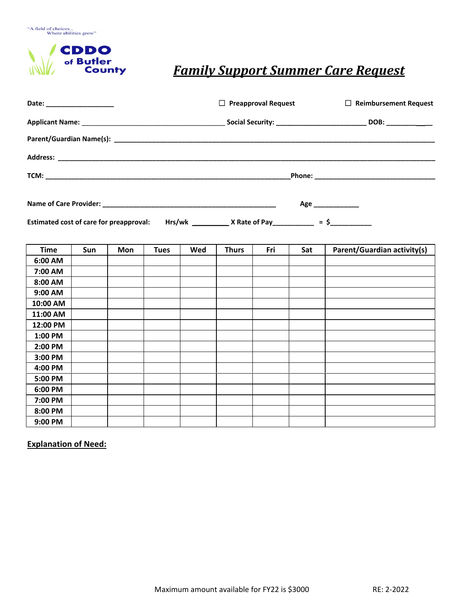

## *Family Support Summer Care Request*

| Date: ______________________ |     |     | $\Box$ Preapproval Request |     |              | $\Box$ Reimbursement Request |     |                                                                                                                               |  |
|------------------------------|-----|-----|----------------------------|-----|--------------|------------------------------|-----|-------------------------------------------------------------------------------------------------------------------------------|--|
|                              |     |     |                            |     |              |                              |     |                                                                                                                               |  |
|                              |     |     |                            |     |              |                              |     |                                                                                                                               |  |
|                              |     |     |                            |     |              |                              |     |                                                                                                                               |  |
|                              |     |     |                            |     |              |                              |     |                                                                                                                               |  |
|                              |     |     |                            |     |              |                              |     | Age _____________<br>Estimated cost of care for preapproval: Hrs/wk ______________ X Rate of Pay___________ = \$_____________ |  |
| <b>Time</b>                  | Sun | Mon | <b>Tues</b>                | Wed | <b>Thurs</b> | Fri                          | Sat | Parent/Guardian activity(s)                                                                                                   |  |
| 6:00 AM                      |     |     |                            |     |              |                              |     |                                                                                                                               |  |
| 7:00 AM                      |     |     |                            |     |              |                              |     |                                                                                                                               |  |
| 8:00 AM                      |     |     |                            |     |              |                              |     |                                                                                                                               |  |
| 9:00 AM                      |     |     |                            |     |              |                              |     |                                                                                                                               |  |
| 10:00 AM                     |     |     |                            |     |              |                              |     |                                                                                                                               |  |
| 11:00 AM                     |     |     |                            |     |              |                              |     |                                                                                                                               |  |
| 12:00 PM                     |     |     |                            |     |              |                              |     |                                                                                                                               |  |
| 1:00 PM                      |     |     |                            |     |              |                              |     |                                                                                                                               |  |
| 2:00 PM                      |     |     |                            |     |              |                              |     |                                                                                                                               |  |
| 3:00 PM                      |     |     |                            |     |              |                              |     |                                                                                                                               |  |
| 4:00 PM                      |     |     |                            |     |              |                              |     |                                                                                                                               |  |
| 5:00 PM                      |     |     |                            |     |              |                              |     |                                                                                                                               |  |
| 6:00 PM                      |     |     |                            |     |              |                              |     |                                                                                                                               |  |
| 7:00 PM                      |     |     |                            |     |              |                              |     |                                                                                                                               |  |
| 8:00 PM                      |     |     |                            |     |              |                              |     |                                                                                                                               |  |
| 9:00 PM                      |     |     |                            |     |              |                              |     |                                                                                                                               |  |

**Explanation of Need:**